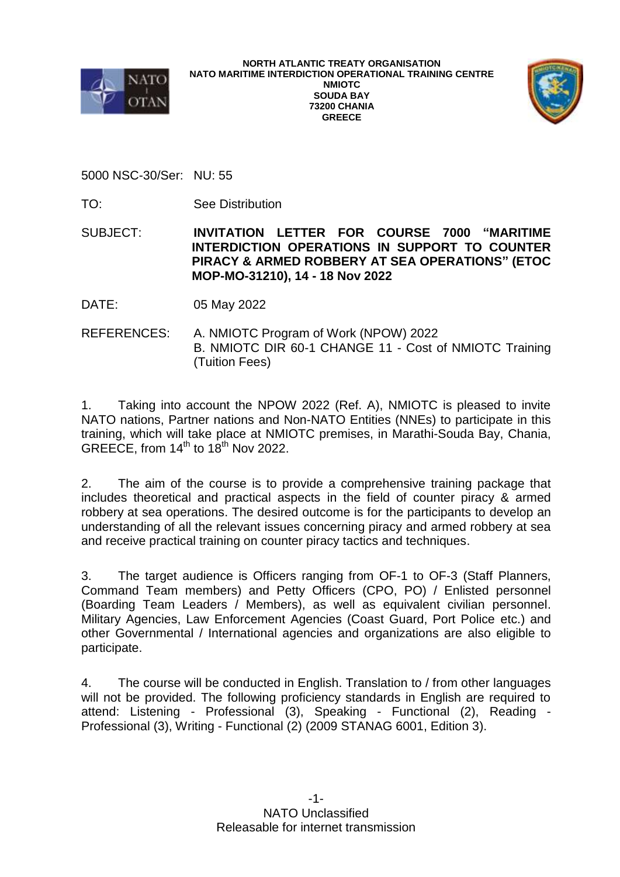



5000 NSC-30/Ser: NU: 55

TO: See Distribution

SUBJECT: **INVITATION LETTER FOR COURSE 7000 "MARITIME INTERDICTION OPERATIONS IN SUPPORT TO COUNTER PIRACY & ARMED ROBBERY AT SEA OPERATIONS" (ETOC MOP-MO-31210), 14 - 18 Nov 2022**

DATE: 05 May 2022

REFERENCES: A. NMIOTC Program of Work (NPOW) 2022 B. NMIOTC DIR 60-1 CHANGE 11 - Cost of NMIOTC Training (Tuition Fees)

1. Taking into account the NPOW 2022 (Ref. A), NMIOTC is pleased to invite NATO nations, Partner nations and Non-NATO Entities (NNEs) to participate in this training, which will take place at NMIOTC premises, in Marathi-Souda Bay, Chania, GREECE, from  $14<sup>th</sup>$  to  $18<sup>th</sup>$  Nov 2022.

2. The aim of the course is to provide a comprehensive training package that includes theoretical and practical aspects in the field of counter piracy & armed robbery at sea operations. The desired outcome is for the participants to develop an understanding of all the relevant issues concerning piracy and armed robbery at sea and receive practical training on counter piracy tactics and techniques.

3. The target audience is Officers ranging from OF-1 to OF-3 (Staff Planners, Command Team members) and Petty Officers (CPO, PO) / Enlisted personnel (Boarding Team Leaders / Members), as well as equivalent civilian personnel. Military Agencies, Law Enforcement Agencies (Coast Guard, Port Police etc.) and other Governmental / International agencies and organizations are also eligible to participate.

4. The course will be conducted in English. Translation to / from other languages will not be provided. The following proficiency standards in English are required to attend: Listening - Professional (3), Speaking - Functional (2), Reading - Professional (3), Writing - Functional (2) (2009 STANAG 6001, Edition 3).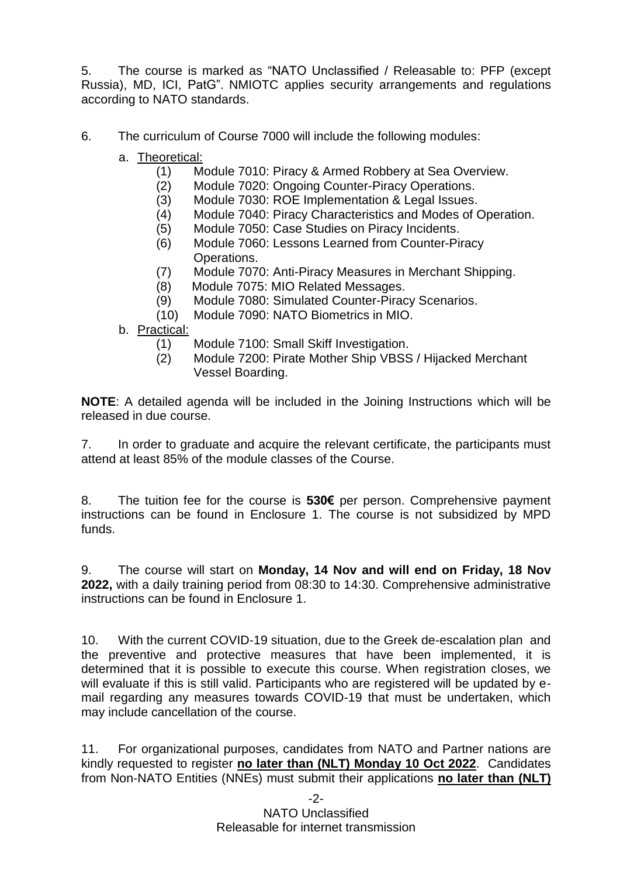5. The course is marked as "NATO Unclassified / Releasable to: PFP (except Russia), MD, ICI, PatG". NMIOTC applies security arrangements and regulations according to NATO standards.

6. The curriculum of Course 7000 will include the following modules:

- a. Theoretical:
	- (1) Module 7010: Piracy & Armed Robbery at Sea Overview.
	- (2) Module 7020: Ongoing Counter-Piracy Operations.
	- (3) Module 7030: ROE Implementation & Legal Issues.
	- (4) Module 7040: Piracy Characteristics and Modes of Operation.
	- (5) Module 7050: Case Studies on Piracy Incidents.
	- (6) Module 7060: Lessons Learned from Counter-Piracy Operations.
	- (7) Module 7070: Anti-Piracy Measures in Merchant Shipping.
	- (8) Module 7075: MIO Related Messages.
	- (9) Module 7080: Simulated Counter-Piracy Scenarios.
	- (10) Module 7090: NATO Biometrics in MIO.
- b. Practical:
	- (1) Module 7100: Small Skiff Investigation.
	- (2) Module 7200: Pirate Mother Ship VBSS / Hijacked Merchant Vessel Boarding.

**NOTE**: A detailed agenda will be included in the Joining Instructions which will be released in due course.

7. In order to graduate and acquire the relevant certificate, the participants must attend at least 85% of the module classes of the Course.

8. The tuition fee for the course is **530€** per person. Comprehensive payment instructions can be found in Enclosure 1. The course is not subsidized by MPD funds.

9. The course will start on **Monday, 14 Nov and will end on Friday, 18 Nov 2022,** with a daily training period from 08:30 to 14:30. Comprehensive administrative instructions can be found in Enclosure 1.

10. With the current COVID-19 situation, due to the Greek de-escalation plan and the preventive and protective measures that have been implemented, it is determined that it is possible to execute this course. When registration closes, we will evaluate if this is still valid. Participants who are registered will be updated by email regarding any measures towards COVID-19 that must be undertaken, which may include cancellation of the course.

11. For organizational purposes, candidates from NATO and Partner nations are kindly requested to register **no later than (NLT) Monday 10 Oct 2022**. Candidates from Non-NATO Entities (NNEs) must submit their applications **no later than (NLT)**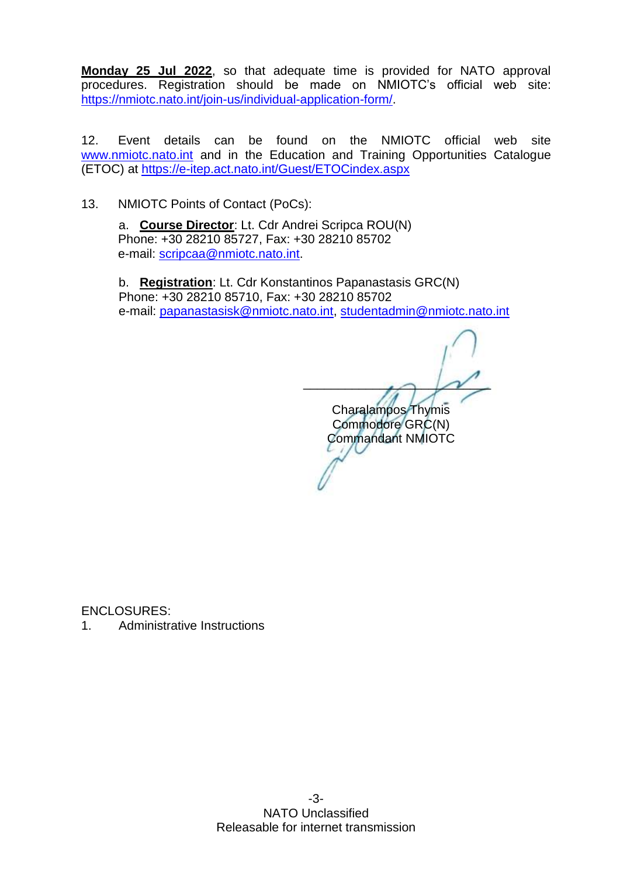**Monday 25 Jul 2022**, so that adequate time is provided for NATO approval procedures. Registration should be made on NMIOTC's official web site: [https://nmiotc.nato.int/join-us/individual-application-form/.](https://nmiotc.nato.int/join-us/individual-application-form/)

12. Event details can be found on the NMIOTC official web site [www.nmiotc.nato.int](http://www.nmiotc.nato.int/) and in the Education and Training Opportunities Catalogue (ETOC) at<https://e-itep.act.nato.int/Guest/ETOCindex.aspx>

13. NMIOTC Points of Contact (PoCs):

a. **Course Director**: Lt. Cdr Andrei Scripca ROU(N) Phone: +30 28210 85727, Fax: +30 28210 85702 e-mail: [scripcaa@nmiotc.nato.int.](mailto:scripcaa@nmiotc.nato.int)

b. **Registration**: Lt. Cdr Konstantinos Papanastasis GRC(N) Phone: +30 28210 85710, Fax: +30 28210 85702 e-mail: [papanastasisk@nmiotc.nato.int,](mailto:papanastasisk@nmiotc.nato.int) [studentadmin@nmiotc.nato.int](mailto:studentadmin@nmiotc.nato.int)

 $\sim$   $\sim$   $\sim$ Charalampos Thymis Commodore GRC(N) Commandant NMIOTC

ENCLOSURES:

1. Administrative Instructions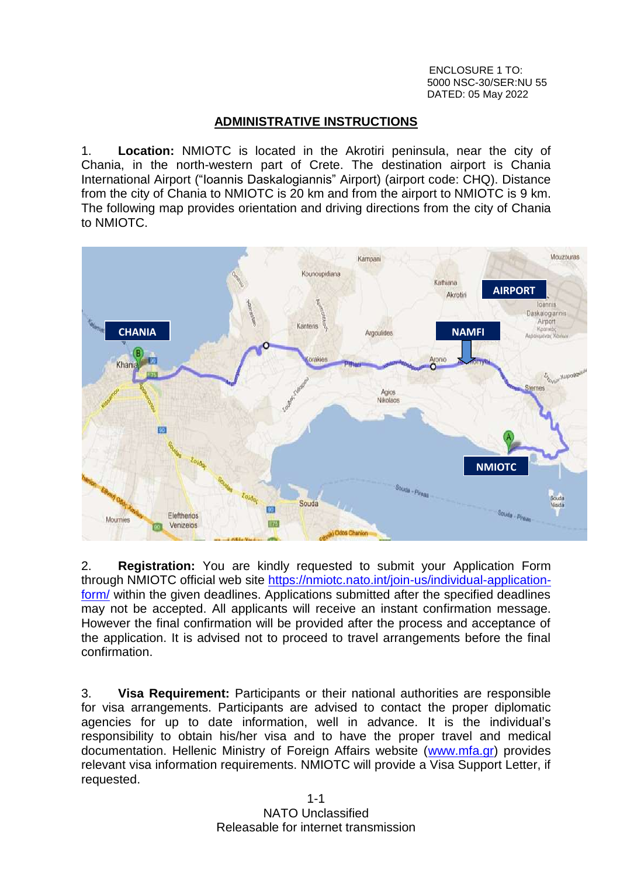ENCLOSURE 1 TO: 5000 NSC-30/SER:NU 55 DATED: 05 May 2022

## **ADMINISTRATIVE INSTRUCTIONS**

1. **Location:** NMIOTC is located in the Akrotiri peninsula, near the city of Chania, in the north-western part of Crete. The destination airport is Chania International Airport ("Ioannis Daskalogiannis" Airport) (airport code: CHQ). Distance from the city of Chania to NMIOTC is 20 km and from the airport to NMIOTC is 9 km. The following map provides orientation and driving directions from the city of Chania to NMIOTC.



2. **Registration:** You are kindly requested to submit your Application Form through NMIOTC official web site [https://nmiotc.nato.int/join-us/individual-application](https://nmiotc.nato.int/join-us/individual-application-form/)[form/](https://nmiotc.nato.int/join-us/individual-application-form/) within the given deadlines. Applications submitted after the specified deadlines may not be accepted. All applicants will receive an instant confirmation message. However the final confirmation will be provided after the process and acceptance of the application. It is advised not to proceed to travel arrangements before the final confirmation.

3. **Visa Requirement:** Participants or their national authorities are responsible for visa arrangements. Participants are advised to contact the proper diplomatic agencies for up to date information, well in advance. It is the individual's responsibility to obtain his/her visa and to have the proper travel and medical documentation. Hellenic Ministry of Foreign Affairs website [\(www.mfa.gr\)](http://www.mfa.gr/) provides relevant visa information requirements. NMIOTC will provide a Visa Support Letter, if requested.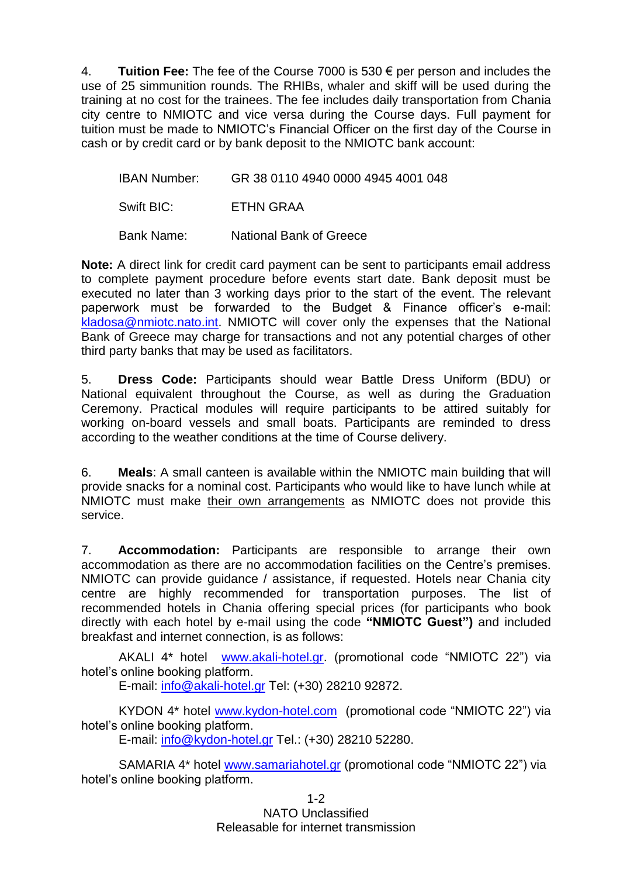4. **Tuition Fee:** The fee of the Course 7000 is 530 € per person and includes the use of 25 simmunition rounds. The RHIBs, whaler and skiff will be used during the training at no cost for the trainees. The fee includes daily transportation from Chania city centre to NMIOTC and vice versa during the Course days. Full payment for tuition must be made to NMIOTC's Financial Officer on the first day of the Course in cash or by credit card or by bank deposit to the NMIOTC bank account:

IBAN Number: GR 38 0110 4940 0000 4945 4001 048

Swift BIC: ETHN GRAA

Bank Name: National Bank of Greece

**Note:** A direct link for credit card payment can be sent to participants email address to complete payment procedure before events start date. Bank deposit must be executed no later than 3 working days prior to the start of the event. The relevant paperwork must be forwarded to the Budget & Finance officer's e-mail: [kladosa@nmiotc.nato.int.](mailto:kladosa@nmiotc.nato.int) NMIOTC will cover only the expenses that the National Bank of Greece may charge for transactions and not any potential charges of other third party banks that may be used as facilitators.

5. **Dress Code:** Participants should wear Battle Dress Uniform (BDU) or National equivalent throughout the Course, as well as during the Graduation Ceremony. Practical modules will require participants to be attired suitably for working on-board vessels and small boats. Participants are reminded to dress according to the weather conditions at the time of Course delivery.

6. **Meals**: A small canteen is available within the NMIOTC main building that will provide snacks for a nominal cost. Participants who would like to have lunch while at NMIOTC must make their own arrangements as NMIOTC does not provide this service.

7. **Accommodation:** Participants are responsible to arrange their own accommodation as there are no accommodation facilities on the Centre's premises. NMIOTC can provide guidance / assistance, if requested. Hotels near Chania city centre are highly recommended for transportation purposes. The list of recommended hotels in Chania offering special prices (for participants who book directly with each hotel by e-mail using the code **"NMIOTC Guest")** and included breakfast and internet connection, is as follows:

AKALI 4\* hotel [www.akali-hotel.gr.](http://www.akali-hotel.gr/) (promotional code "NMIOTC 22") via hotel's online booking platform.

E-mail: [info@akali-hotel.gr](mailto:info@akali-hotel.gr) Τel: [\(+30\) 28210 9](tel:%2B30%202821038600)2872.

KYDON 4\* hotel [www.kydon-hotel.com](file://nunmisv-apps/Outgoing_Documents/Users/m.woolley/AppData/Local/Microsoft/Windows/Temporary%20Internet%20Files/Content.Outlook/Local%20Settings/Temporary%20Internet%20Files/Content.Outlook/Local%20Settings/Temporary%20Internet%20Files/Content.Outlook/Local%20Settings/Temporary%20Internet%20Files/AppData/Local/Microsoft/Windows/Temporary%20Internet%20Files/lytrase/Local%20Settings/Temporary%20Internet%20Files/Content.Outlook/Local%20Settings/Temporary%20Internet%20Files/vougioukasg/Local%20Settings/Temporary%20Internet%20Files/sampanisk/Local%20Settings/Temporary%20Internet%20Files/Content.Outlook/Local%20Settings/Temporary%20Internet%20Files/Content.Outlook/UZHVFRKX/www.kydon-hotel.com) (promotional code "NMIOTC 22") via hotel's online booking platform.

E-mail: [info@kydon-hotel.gr](mailto:info@kydon-hotel.gr) Tel.: (+30) 28210 52280.

SAMARIA 4\* hotel [www.samariahotel.gr](http://www.samariahotel.gr/) (promotional code "NMIOTC 22") via hotel's online booking platform.

> 1-2 NATO Unclassified Releasable for internet transmission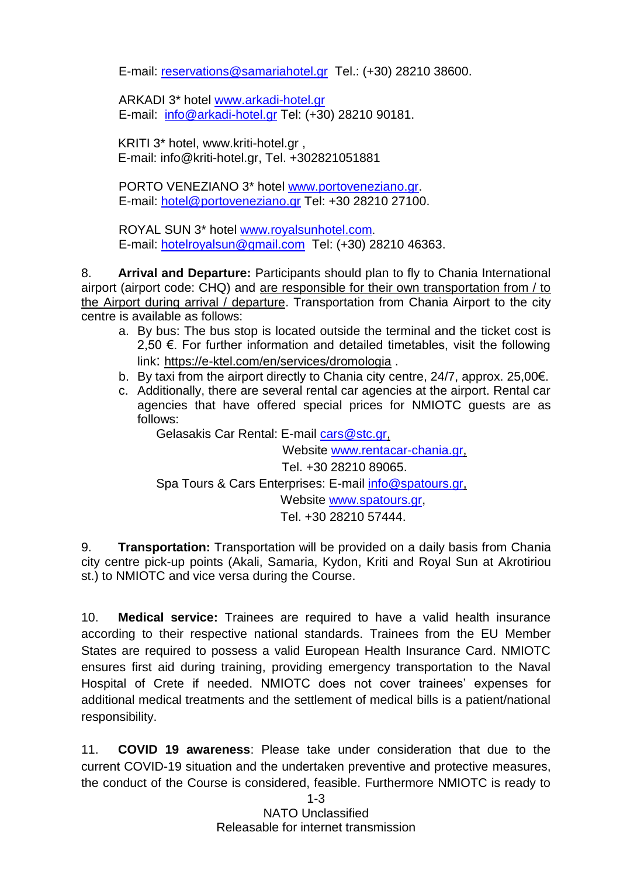E-mail: [reservations@samariahotel.gr](mailto:reservations@samariahotel.gr) Τel.: [\(+30\) 28210 38600.](tel:%2B30%202821038600)

ARKADI 3\* hotel [www.arkadi-hotel.gr](http://www.arkadi-hotel.gr/) E-mail: [info@arkadi-hotel.gr](mailto:info@arkadi-hotel.gr) Τel: [\(+30\) 28210 9](tel:%2B30%202821038600)0181.

KRITI 3\* hotel, www.kriti-hotel.gr , E-mail: info@kriti-hotel.gr, Tel. +302821051881

PORTO VENEZIANO 3\* hotel [www.portoveneziano.gr.](http://www.portoveneziano.gr/) E-mail: [hotel@portoveneziano.gr](mailto:hotel@portoveneziano.gr) Tel: +30 28210 27100.

ROYAL SUN 3\* hotel [www.royalsunhotel.com](http://www.royalsunhotel.com/). E-mail: [hotelroyalsun@gmail.com](mailto:hotelroyalsun@gmail.com) Τel: [\(+30\) 28210 4](tel:%2B30%202821038600)6363.

8. **Arrival and Departure:** Participants should plan to fly to Chania International airport (airport code: CHQ) and are responsible for their own transportation from / to the Airport during arrival / departure. Transportation from Chania Airport to the city centre is available as follows:

- a. By bus: The bus stop is located outside the terminal and the ticket cost is 2.50 €. For further information and detailed timetables, visit the following link: https://e-ktel.com/en/services/dromologia .
- b. By taxi from the airport directly to Chania city centre, 24/7, approx. 25,00€.
- c. Additionally, there are several rental car agencies at the airport. Rental car agencies that have offered special prices for NMIOTC guests are as follows:

Gelasakis Car Rental: E-mail [cars@stc.gr,](mailto:cars@stc.gr)

Website [www.rentacar-chania.gr,](http://www.rentacar-chania.gr/) Tel. +30 28210 89065.

Spa Tours & Cars Enterprises: E-mail [info@spatours.gr,](mailto:info@spatours.gr)

Website [www.spatours.gr,](http://www.spatours.gr/)

Tel. +30 28210 57444.

9. **Transportation:** Transportation will be provided on a daily basis from Chania city centre pick-up points (Akali, Samaria, Kydon, Kriti and Royal Sun at Akrotiriou st.) to NMIOTC and vice versa during the Course.

10. **Medical service:** Trainees are required to have a valid health insurance according to their respective national standards. Trainees from the EU Member States are required to possess a valid European Health Insurance Card. NMIOTC ensures first aid during training, providing emergency transportation to the Naval Hospital of Crete if needed. NMIOTC does not cover trainees' expenses for additional medical treatments and the settlement of medical bills is a patient/national responsibility.

11. **COVID 19 awareness**: Please take under consideration that due to the current COVID-19 situation and the undertaken preventive and protective measures, the conduct of the Course is considered, feasible. Furthermore NMIOTC is ready to